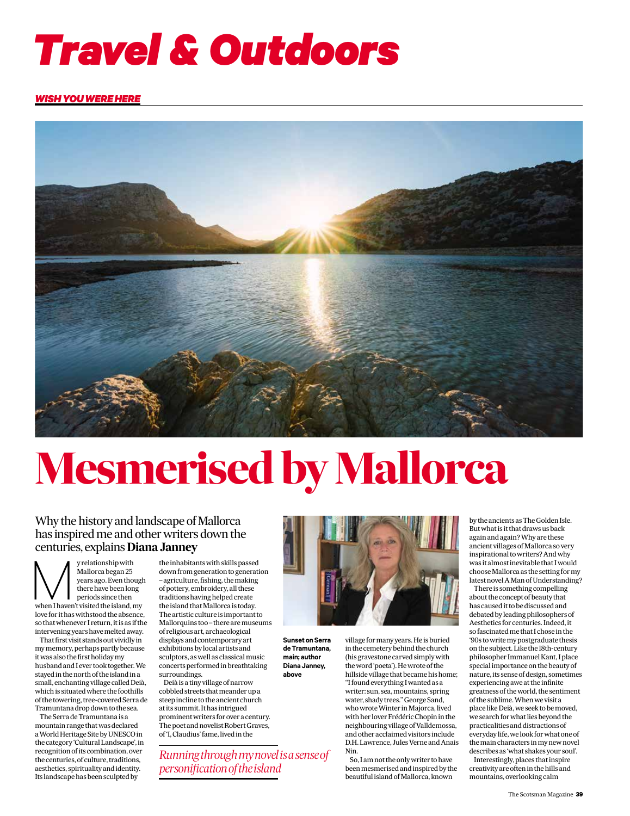

#### *WISH YOU WERE HERE*



# **Mesmerised by Mallorca**

**Sunset on Serra de Tramuntana, main; author Diana Janney, above**

### Why the history and landscape of Mallorca has inspired me and other writers down the centuries, explains **Diana Janney**

Lentun Ies, explains Dia<br> *y* relationship with<br>
Mallorca began 25<br>
years ago. Even though<br>
there have been long<br>
periods since then<br>
when I haven't visited the island, my *Mallorca began 25 years ago. Even though there have been long periods since then love for it has withstood the absence, so that whenever I return, it is as if the intervening years have melted away.*

*That first visit stands out vividly in my memory, perhaps partly because it was also the first holiday my husband and I ever took together. We stayed in the north of the island in a small, enchanting village called Deià, which is situated where the foothills of the towering, tree-covered Serra de Tramuntana drop down to the sea.*

*The Serra de Tramuntana is a mountain range that was declared a World Heritage Site by UNESCO in the category 'Cultural Landscape', in recognition of its combination, over the centuries, of culture, traditions, aesthetics, spirituality and identity. Its landscape has been sculpted by* 

*the inhabitants with skills passed down from generation to generation – agriculture, fishing, the making of pottery, embroidery, all these traditions having helped create the island that Mallorca is today. The artistic culture is important to Mallorquins too – there are museums of religious art, archaeological displays and contemporary art exhibitions by local artists and sculptors, as well as classical music concerts performed in breathtaking surroundings.*

*Deià is a tiny village of narrow cobbled streets that meander up a steep incline to the ancient church at its summit. It has intrigued prominent writers for over a century. The poet and novelist Robert Graves, of 'I, Claudius' fame, lived in the* 

*Running through my novel is a sense of personification of the island*



*village for many years. He is buried in the cemetery behind the church (his gravestone carved simply with the word 'poeta'). He wrote of the hillside village that became his home; "I found everything I wanted as a writer: sun, sea, mountains, spring water, shady trees." George Sand, who wrote Winter in Majorca, lived with her lover Frédéric Chopin in the neighbouring village of Valldemossa, and other acclaimed visitors include D.H. Lawrence, Jules Verne and Anais Nin.*

*So, I am not the only writer to have been mesmerised and inspired by the beautiful island of Mallorca, known* 

*by the ancients as The Golden Isle. But what is it that draws us back again and again? Why are these ancient villages of Mallorca so very inspirational to writers? And why was it almost inevitable that I would choose Mallorca as the setting for my latest novel A Man of Understanding?*

*There is something compelling about the concept of beauty that has caused it to be discussed and debated by leading philosophers of Aesthetics for centuries. Indeed, it so fascinated me that I chose in the '90s to write my postgraduate thesis on the subject. Like the 18th-century philosopher Immanuel Kant, I place special importance on the beauty of nature, its sense of design, sometimes experiencing awe at the infinite greatness of the world, the sentiment of the sublime. When we visit a place like Deià, we seek to be moved, we search for what lies beyond the practicalities and distractions of everyday life, we look for what one of the main characters in my new novel describes as 'what shakes your soul'. Interestingly, places that inspire creativity are often in the hills and mountains, overlooking calm*